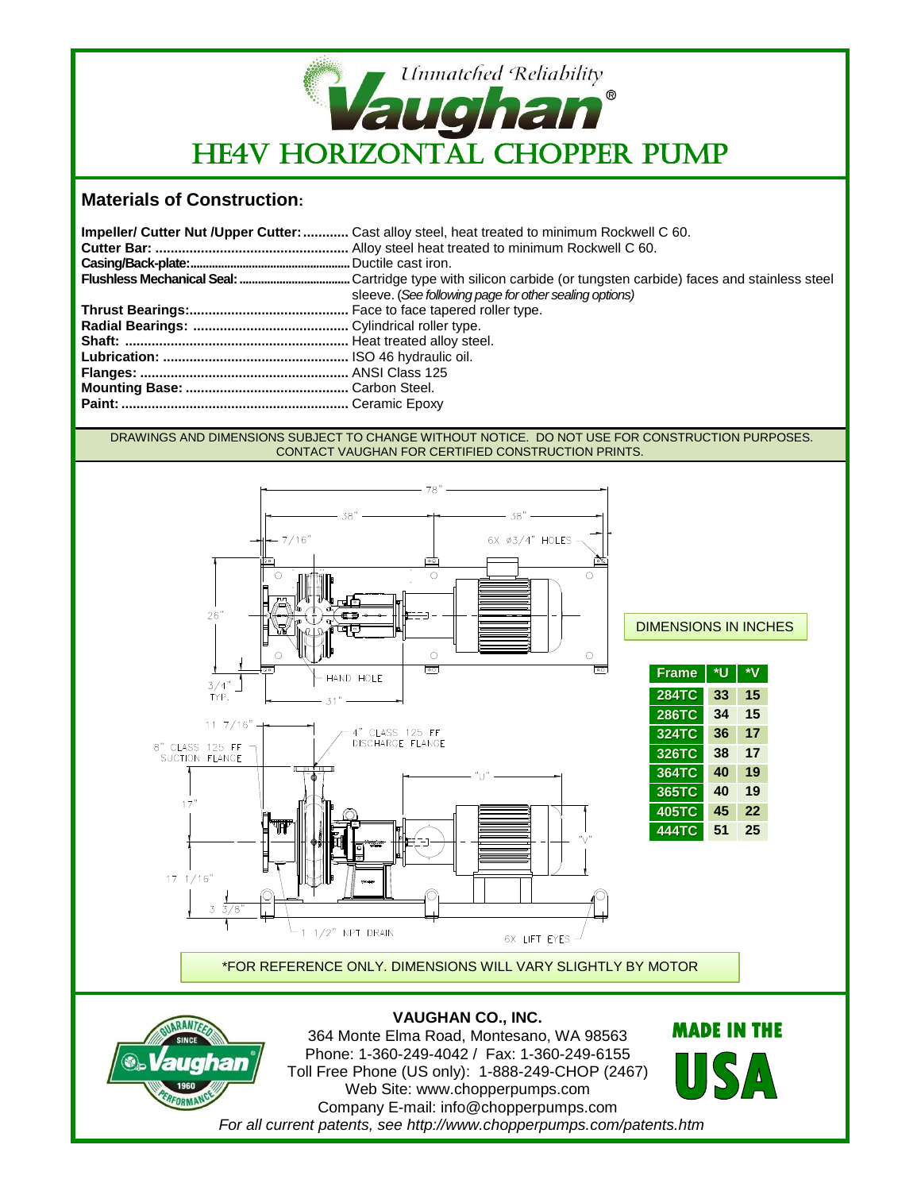

## **Materials of Construction:**

| <b>Impeller/ Cutter Nut /Upper Cutter:</b> Cast alloy steel, heat treated to minimum Rockwell C 60. |
|-----------------------------------------------------------------------------------------------------|
|                                                                                                     |
|                                                                                                     |
|                                                                                                     |
| sleeve. (See following page for other sealing options)                                              |
|                                                                                                     |
|                                                                                                     |
|                                                                                                     |
|                                                                                                     |
|                                                                                                     |
|                                                                                                     |
|                                                                                                     |

## DRAWINGS AND DIMENSIONS SUBJECT TO CHANGE WITHOUT NOTICE. DO NOT USE FOR CONSTRUCTION PURPOSES. CONTACT VAUGHAN FOR CERTIFIED CONSTRUCTION PRINTS.